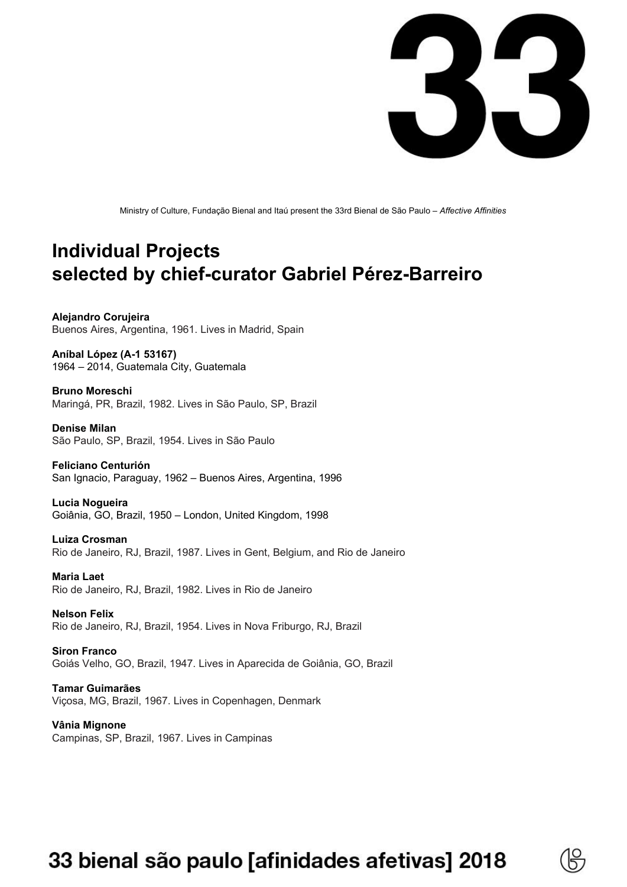

Ministry of Culture, Fundação Bienal and Itaú present the 33rd Bienal de São Paulo – *Affective Affinities*

## **Individual Projects selected by chief-curator Gabriel Pérez-Barreiro**

**Alejandro Corujeira** Buenos Aires, Argentina, 1961. Lives in Madrid, Spain

**Aníbal López (A-1 53167)** 1964 – 2014, Guatemala City, Guatemala

**Bruno Moreschi** Maringá, PR, Brazil, 1982. Lives in São Paulo, SP, Brazil

**Denise Milan** São Paulo, SP, Brazil, 1954. Lives in São Paulo

**Feliciano Centurión** San Ignacio, Paraguay, 1962 – Buenos Aires, Argentina, 1996

**Lucia Nogueira** Goiânia, GO, Brazil, 1950 – London, United Kingdom, 1998

**Luiza Crosman** Rio de Janeiro, RJ, Brazil, 1987. Lives in Gent, Belgium, and Rio de Janeiro

**Maria Laet** Rio de Janeiro, RJ, Brazil, 1982. Lives in Rio de Janeiro

**Nelson Felix** Rio de Janeiro, RJ, Brazil, 1954. Lives in Nova Friburgo, RJ, Brazil

**Siron Franco** Goiás Velho, GO, Brazil, 1947. Lives in Aparecida de Goiânia, GO, Brazil

**Tamar Guimarães** Viçosa, MG, Brazil, 1967. Lives in Copenhagen, Denmark

**Vânia Mignone** Campinas, SP, Brazil, 1967. Lives in Campinas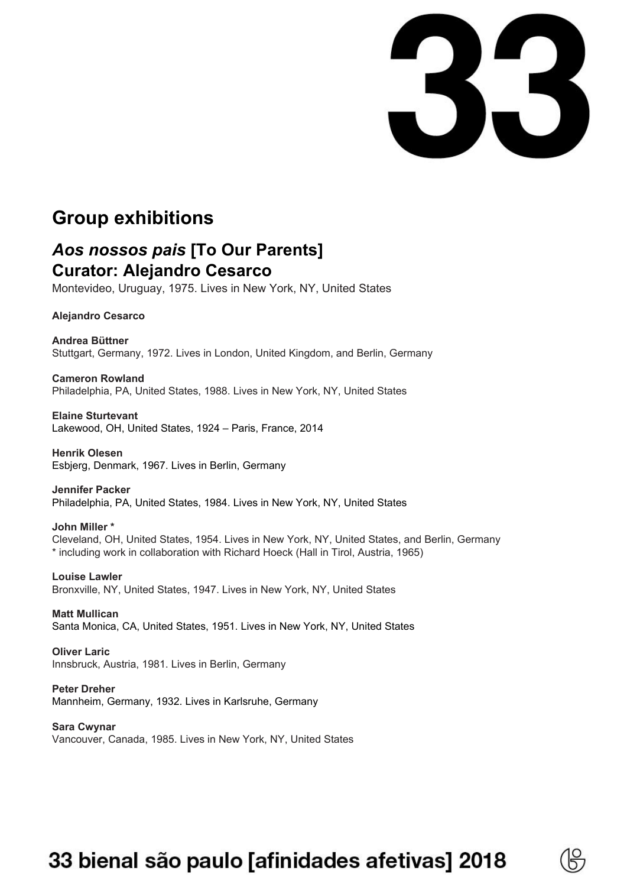

## **Group exhibitions**

## *Aos nossos pais* **[To Our Parents] Curator: Alejandro Cesarco**

Montevideo, Uruguay, 1975. Lives in New York, NY, United States

**Alejandro Cesarco**

**Andrea Büttner** Stuttgart, Germany, 1972. Lives in London, United Kingdom, and Berlin, Germany

**Cameron Rowland** Philadelphia, PA, United States, 1988. Lives in New York, NY, United States

**Elaine Sturtevant** Lakewood, OH, United States, 1924 – Paris, France, 2014

**Henrik Olesen** Esbjerg, Denmark, 1967. Lives in Berlin, Germany

**Jennifer Packer** Philadelphia, PA, United States, 1984. Lives in New York, NY, United States

**John Miller \*** Cleveland, OH, United States, 1954. Lives in New York, NY, United States, and Berlin, Germany \* including work in collaboration with Richard Hoeck (Hall in Tirol, Austria, 1965)

**Louise Lawler** Bronxville, NY, United States, 1947. Lives in New York, NY, United States

**Matt Mullican** Santa Monica, CA, United States, 1951. Lives in New York, NY, United States

**Oliver Laric** Innsbruck, Austria, 1981. Lives in Berlin, Germany

**Peter Dreher** Mannheim, Germany, 1932. Lives in Karlsruhe, Germany

**Sara Cwynar** Vancouver, Canada, 1985. Lives in New York, NY, United States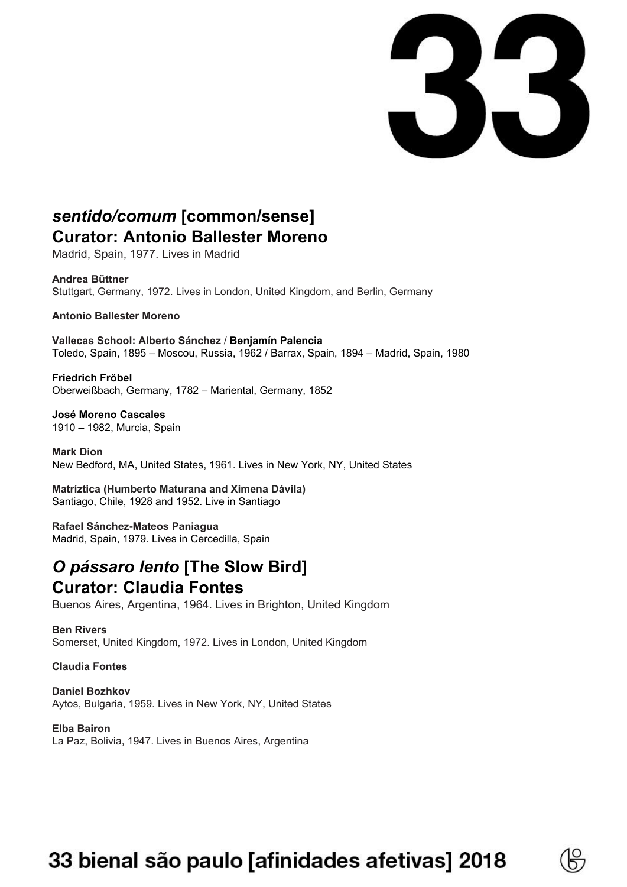

## *sentido/comum* **[common/sense] Curator: Antonio Ballester Moreno**

Madrid, Spain, 1977. Lives in Madrid

#### **Andrea Büttner**

Stuttgart, Germany, 1972. Lives in London, United Kingdom, and Berlin, Germany

### **Antonio Ballester Moreno**

**Vallecas School: Alberto Sánchez** / **Benjamín Palencia** Toledo, Spain, 1895 – Moscou, Russia, 1962 / Barrax, Spain, 1894 – Madrid, Spain, 1980

**Friedrich Fröbel** Oberweißbach, Germany, 1782 – Mariental, Germany, 1852

**José Moreno Cascales** 1910 – 1982, Murcia, Spain

**Mark Dion** New Bedford, MA, United States, 1961. Lives in New York, NY, United States

**Matríztica (Humberto Maturana and Ximena Dávila)** Santiago, Chile, 1928 and 1952. Live in Santiago

**Rafael Sánchez-Mateos Paniagua** Madrid, Spain, 1979. Lives in Cercedilla, Spain

## *O pássaro lento* **[The Slow Bird] Curator: Claudia Fontes**

Buenos Aires, Argentina, 1964. Lives in Brighton, United Kingdom

**Ben Rivers** Somerset, United Kingdom, 1972. Lives in London, United Kingdom

### **Claudia Fontes**

**Daniel Bozhkov** Aytos, Bulgaria, 1959. Lives in New York, NY, United States

**Elba Bairon** La Paz, Bolivia, 1947. Lives in Buenos Aires, Argentina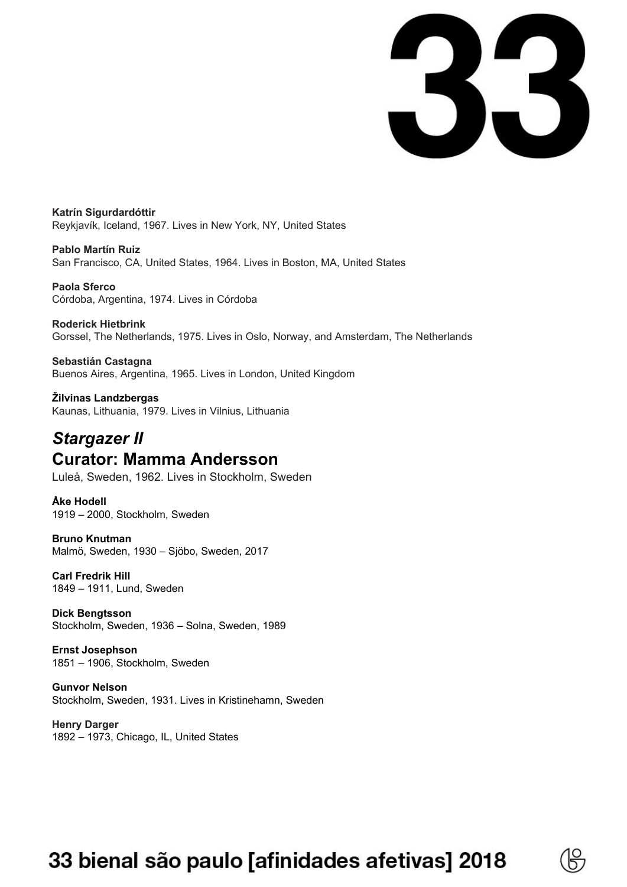

**Katrín Sigurdardóttir** Reykjavík, Iceland, 1967. Lives in New York, NY, United States

**Pablo Martín Ruiz** San Francisco, CA, United States, 1964. Lives in Boston, MA, United States

**Paola Sferco** Córdoba, Argentina, 1974. Lives in Córdoba

**Roderick Hietbrink** Gorssel, The Netherlands, 1975. Lives in Oslo, Norway, and Amsterdam, The Netherlands

### **Sebastián Castagna** Buenos Aires, Argentina, 1965. Lives in London, United Kingdom

**Žilvinas Landzbergas** Kaunas, Lithuania, 1979. Lives in Vilnius, Lithuania

## *Stargazer II* **Curator: Mamma Andersson**

Luleå, Sweden, 1962. Lives in Stockholm, Sweden

**Åke Hodell** 1919 – 2000, Stockholm, Sweden

### **Bruno Knutman**

Malmö, Sweden, 1930 – Sjöbo, Sweden, 2017

### **Carl Fredrik Hill**

1849 – 1911, Lund, Sweden

**Dick Bengtsson** Stockholm, Sweden, 1936 – Solna, Sweden, 1989

**Ernst Josephson** 1851 – 1906, Stockholm, Sweden

**Gunvor Nelson** Stockholm, Sweden, 1931. Lives in Kristinehamn, Sweden

**Henry Darger** 1892 – 1973, Chicago, IL, United States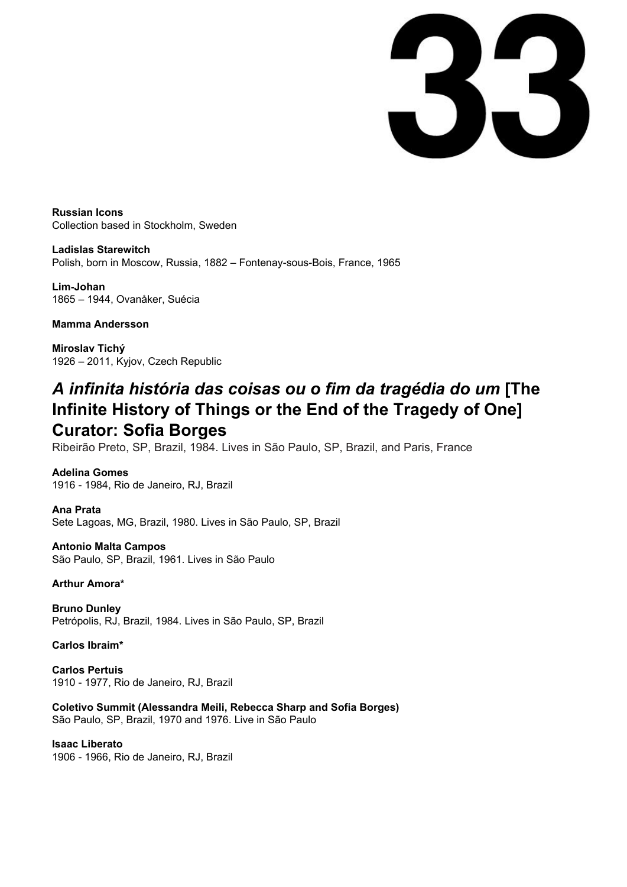33

**Russian Icons** Collection based in Stockholm, Sweden

**Ladislas Starewitch** Polish, born in Moscow, Russia, 1882 – Fontenay-sous-Bois, France, 1965

**Lim-Johan** 1865 – 1944, Ovanåker, Suécia

### **Mamma Andersson**

**Miroslav Tichý** 1926 – 2011, Kyjov, Czech Republic

## *A infinita história das coisas ou o fim da tragédia do um* **[The Infinite History of Things or the End of the Tragedy of One] Curator: Sofia Borges**

Ribeirão Preto, SP, Brazil, 1984. Lives in São Paulo, SP, Brazil, and Paris, France

**Adelina Gomes** 1916 - 1984, Rio de Janeiro, RJ, Brazil

**Ana Prata** Sete Lagoas, MG, Brazil, 1980. Lives in São Paulo, SP, Brazil

**Antonio Malta Campos** São Paulo, SP, Brazil, 1961. Lives in São Paulo

**Arthur Amora\***

**Bruno Dunley** Petrópolis, RJ, Brazil, 1984. Lives in São Paulo, SP, Brazil

**Carlos Ibraim\***

**Carlos Pertuis** 1910 - 1977, Rio de Janeiro, RJ, Brazil

**Coletivo Summit (Alessandra Meili, Rebecca Sharp and Sofia Borges)** São Paulo, SP, Brazil, 1970 and 1976. Live in São Paulo

**Isaac Liberato** 1906 - 1966, Rio de Janeiro, RJ, Brazil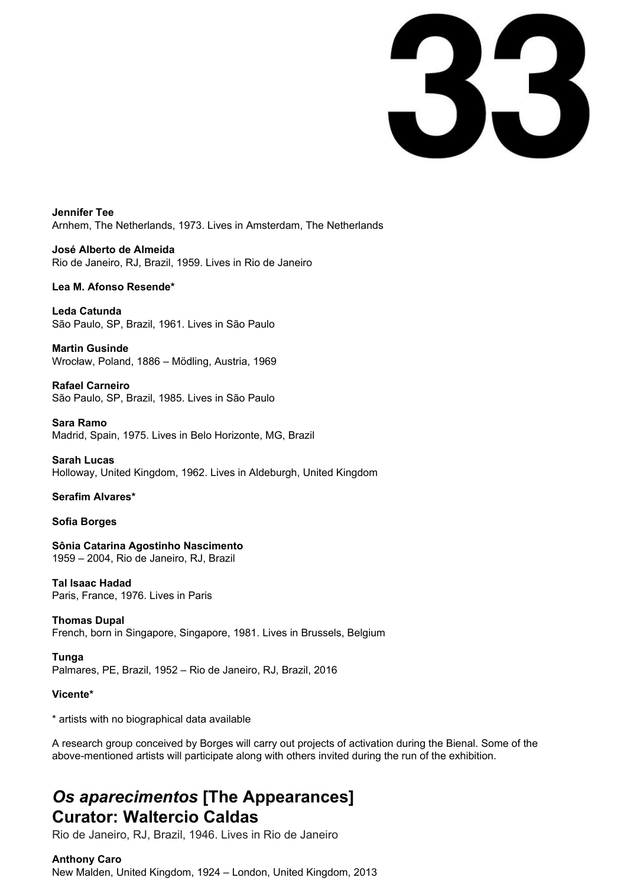33

**Jennifer Tee** Arnhem, The Netherlands, 1973. Lives in Amsterdam, The Netherlands

**José Alberto de Almeida** Rio de Janeiro, RJ, Brazil, 1959. Lives in Rio de Janeiro

### **Lea M. Afonso Resende\***

**Leda Catunda** São Paulo, SP, Brazil, 1961. Lives in São Paulo

**Martin Gusinde** Wrocław, Poland, 1886 – Mödling, Austria, 1969

**Rafael Carneiro** São Paulo, SP, Brazil, 1985. Lives in São Paulo

**Sara Ramo** Madrid, Spain, 1975. Lives in Belo Horizonte, MG, Brazil

**Sarah Lucas** Holloway, United Kingdom, 1962. Lives in Aldeburgh, United Kingdom

### **Serafim Alvares\***

**Sofia Borges**

**Sônia Catarina Agostinho Nascimento** 1959 – 2004, Rio de Janeiro, RJ, Brazil

**Tal Isaac Hadad** Paris, France, 1976. Lives in Paris

**Thomas Dupal** French, born in Singapore, Singapore, 1981. Lives in Brussels, Belgium

**Tunga** Palmares, PE, Brazil, 1952 – Rio de Janeiro, RJ, Brazil, 2016

**Vicente\***

\* artists with no biographical data available

A research group conceived by Borges will carry out projects of activation during the Bienal. Some of the above-mentioned artists will participate along with others invited during the run of the exhibition.

## *Os aparecimentos* **[The Appearances] Curator: Waltercio Caldas**

Rio de Janeiro, RJ, Brazil, 1946. Lives in Rio de Janeiro

### **Anthony Caro**

New Malden, United Kingdom, 1924 – London, United Kingdom, 2013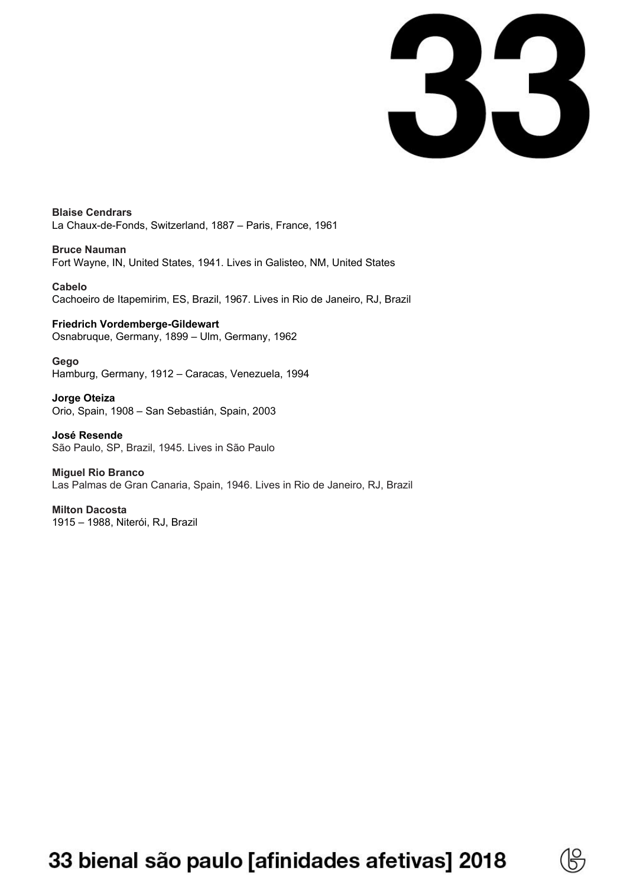33

**Blaise Cendrars** La Chaux-de-Fonds, Switzerland, 1887 – Paris, France, 1961

**Bruce Nauman** Fort Wayne, IN, United States, 1941. Lives in Galisteo, NM, United States

**Cabelo** Cachoeiro de Itapemirim, ES, Brazil, 1967. Lives in Rio de Janeiro, RJ, Brazil

**Friedrich Vordemberge-Gildewart** Osnabruque, Germany, 1899 – Ulm, Germany, 1962

**Gego** Hamburg, Germany, 1912 – Caracas, Venezuela, 1994

**Jorge Oteiza** Orio, Spain, 1908 – San Sebastián, Spain, 2003

**José Resende** São Paulo, SP, Brazil, 1945. Lives in São Paulo

**Miguel Rio Branco** Las Palmas de Gran Canaria, Spain, 1946. Lives in Rio de Janeiro, RJ, Brazil

**Milton Dacosta** 1915 – 1988, Niterói, RJ, Brazil

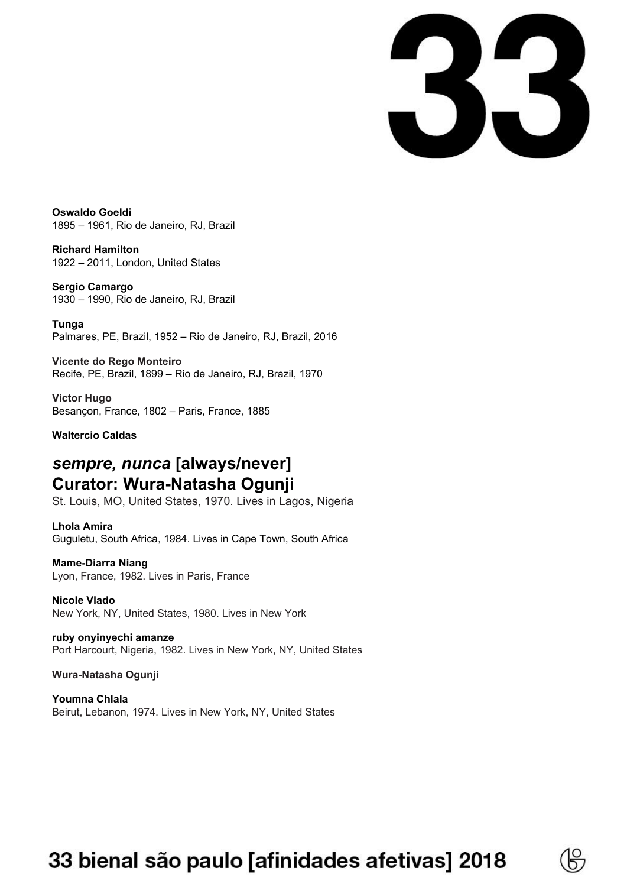33

**Oswaldo Goeldi** 1895 – 1961, Rio de Janeiro, RJ, Brazil

**Richard Hamilton** 1922 – 2011, London, United States

**Sergio Camargo** 1930 – 1990, Rio de Janeiro, RJ, Brazil

**Tunga** Palmares, PE, Brazil, 1952 – Rio de Janeiro, RJ, Brazil, 2016

**Vicente do Rego Monteiro** Recife, PE, Brazil, 1899 – Rio de Janeiro, RJ, Brazil, 1970

**Victor Hugo** Besançon, France, 1802 – Paris, France, 1885

**Waltercio Caldas**

## *sempre, nunca* **[always/never] Curator: Wura-Natasha Ogunji**

St. Louis, MO, United States, 1970. Lives in Lagos, Nigeria

**Lhola Amira**

Guguletu, South Africa, 1984. Lives in Cape Town, South Africa

### **Mame-Diarra Niang**

Lyon, France, 1982. Lives in Paris, France

**Nicole Vlado** New York, NY, United States, 1980. Lives in New York

**ruby onyinyechi amanze** Port Harcourt, Nigeria, 1982. Lives in New York, NY, United States

### **Wura-Natasha Ogunji**

**Youmna Chlala** Beirut, Lebanon, 1974. Lives in New York, NY, United States